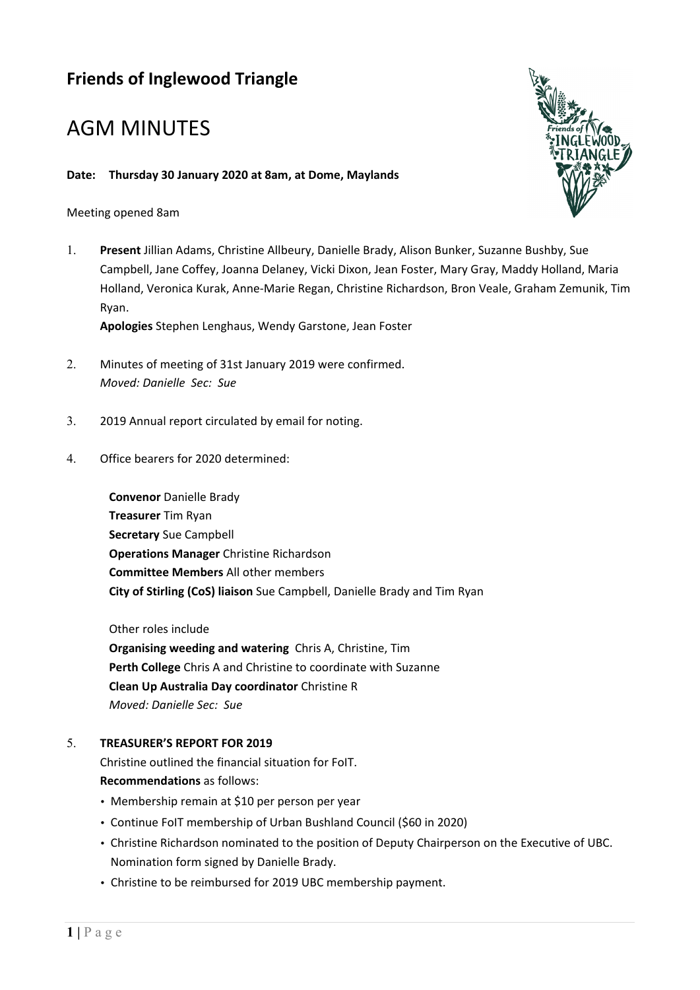# **Friends of Inglewood Triangle**

# AGM MINUTES

#### **Date: Thursday 30 January 2020 at 8am, at Dome, Maylands**

Meeting opened 8am

1. **Present** Jillian Adams, Christine Allbeury, Danielle Brady, Alison Bunker, Suzanne Bushby, Sue Campbell, Jane Coffey, Joanna Delaney, Vicki Dixon, Jean Foster, Mary Gray, Maddy Holland, Maria Holland, Veronica Kurak, Anne-Marie Regan, Christine Richardson, Bron Veale, Graham Zemunik, Tim Ryan.

**Apologies** Stephen Lenghaus, Wendy Garstone, Jean Foster

- 2. Minutes of meeting of 31st January 2019 were confirmed. *Moved: Danielle Sec: Sue*
- 3. 2019 Annual report circulated by email for noting.
- 4. Office bearers for 2020 determined:

**Convenor** Danielle Brady **Treasurer** Tim Ryan **Secretary** Sue Campbell **Operations Manager** Christine Richardson **Committee Members** All other members **City of Stirling (CoS) liaison** Sue Campbell, Danielle Brady and Tim Ryan

Other roles include

**Organising weeding and watering** Chris A, Christine, Tim **Perth College** Chris A and Christine to coordinate with Suzanne **Clean Up Australia Day coordinator** Christine R *Moved: Danielle Sec: Sue*

#### 5. **TREASURER'S REPORT FOR 2019**

Christine outlined the financial situation for FoIT. **Recommendations** as follows:

- Membership remain at \$10 per person per year
- Continue FoIT membership of Urban Bushland Council (\$60 in 2020)
- Christine Richardson nominated to the position of Deputy Chairperson on the Executive of UBC. Nomination form signed by Danielle Brady.
- Christine to be reimbursed for 2019 UBC membership payment.

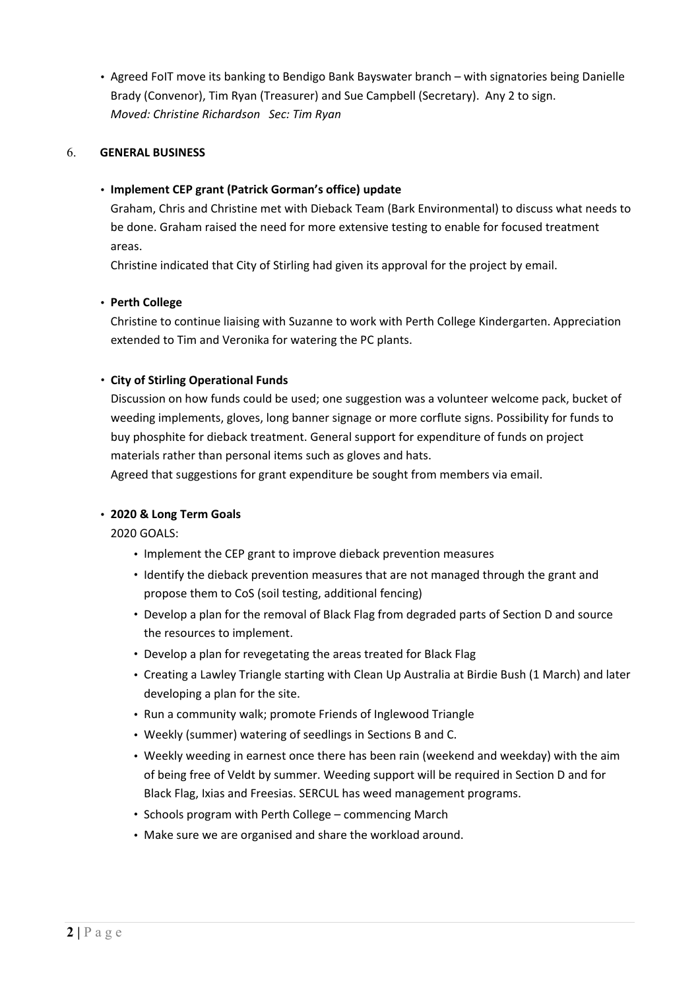• Agreed FoIT move its banking to Bendigo Bank Bayswater branch – with signatories being Danielle Brady (Convenor), Tim Ryan (Treasurer) and Sue Campbell (Secretary). Any 2 to sign. *Moved: Christine Richardson Sec: Tim Ryan*

#### 6. **GENERAL BUSINESS**

#### • **Implement CEP grant (Patrick Gorman's office) update**

Graham, Chris and Christine met with Dieback Team (Bark Environmental) to discuss what needs to be done. Graham raised the need for more extensive testing to enable for focused treatment areas.

Christine indicated that City of Stirling had given its approval for the project by email.

## • **Perth College**

Christine to continue liaising with Suzanne to work with Perth College Kindergarten. Appreciation extended to Tim and Veronika for watering the PC plants.

## • **City of Stirling Operational Funds**

Discussion on how funds could be used; one suggestion was a volunteer welcome pack, bucket of weeding implements, gloves, long banner signage or more corflute signs. Possibility for funds to buy phosphite for dieback treatment. General support for expenditure of funds on project materials rather than personal items such as gloves and hats.

Agreed that suggestions for grant expenditure be sought from members via email.

## • **2020 & Long Term Goals**

2020 GOALS:

- Implement the CEP grant to improve dieback prevention measures
- Identify the dieback prevention measures that are not managed through the grant and propose them to CoS (soil testing, additional fencing)
- Develop a plan for the removal of Black Flag from degraded parts of Section D and source the resources to implement.
- Develop a plan for revegetating the areas treated for Black Flag
- Creating a Lawley Triangle starting with Clean Up Australia at Birdie Bush (1 March) and later developing a plan for the site.
- Run a community walk; promote Friends of Inglewood Triangle
- Weekly (summer) watering of seedlings in Sections B and C.
- Weekly weeding in earnest once there has been rain (weekend and weekday) with the aim of being free of Veldt by summer. Weeding support will be required in Section D and for Black Flag, Ixias and Freesias. SERCUL has weed management programs.
- Schools program with Perth College commencing March
- Make sure we are organised and share the workload around.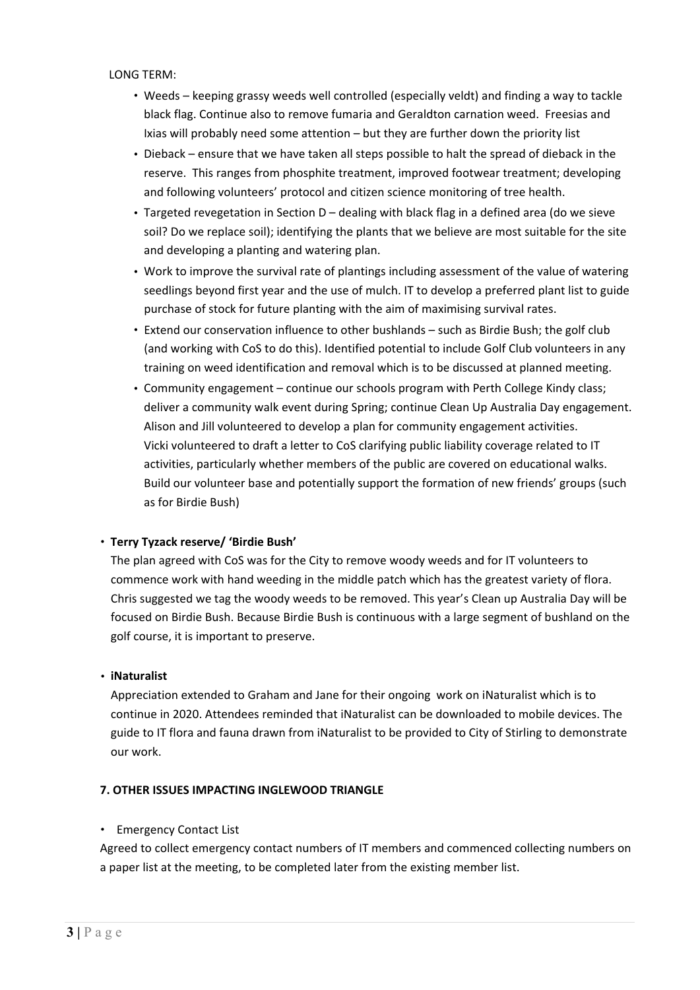LONG TERM:

- Weeds keeping grassy weeds well controlled (especially veldt) and finding a way to tackle black flag. Continue also to remove fumaria and Geraldton carnation weed. Freesias and Ixias will probably need some attention – but they are further down the priority list
- Dieback ensure that we have taken all steps possible to halt the spread of dieback in the reserve. This ranges from phosphite treatment, improved footwear treatment; developing and following volunteers' protocol and citizen science monitoring of tree health.
- Targeted revegetation in Section D dealing with black flag in a defined area (do we sieve soil? Do we replace soil); identifying the plants that we believe are most suitable for the site and developing a planting and watering plan.
- Work to improve the survival rate of plantings including assessment of the value of watering seedlings beyond first year and the use of mulch. IT to develop a preferred plant list to guide purchase of stock for future planting with the aim of maximising survival rates.
- Extend our conservation influence to other bushlands such as Birdie Bush; the golf club (and working with CoS to do this). Identified potential to include Golf Club volunteers in any training on weed identification and removal which is to be discussed at planned meeting.
- Community engagement continue our schools program with Perth College Kindy class; deliver a community walk event during Spring; continue Clean Up Australia Day engagement. Alison and Jill volunteered to develop a plan for community engagement activities. Vicki volunteered to draft a letter to CoS clarifying public liability coverage related to IT activities, particularly whether members of the public are covered on educational walks. Build our volunteer base and potentially support the formation of new friends' groups (such as for Birdie Bush)

## • **Terry Tyzack reserve/ 'Birdie Bush'**

The plan agreed with CoS was for the City to remove woody weeds and for IT volunteers to commence work with hand weeding in the middle patch which has the greatest variety of flora. Chris suggested we tag the woody weeds to be removed. This year's Clean up Australia Day will be focused on Birdie Bush. Because Birdie Bush is continuous with a large segment of bushland on the golf course, it is important to preserve.

#### • **iNaturalist**

Appreciation extended to Graham and Jane for their ongoing work on iNaturalist which is to continue in 2020. Attendees reminded that iNaturalist can be downloaded to mobile devices. The guide to IT flora and fauna drawn from iNaturalist to be provided to City of Stirling to demonstrate our work.

#### **7. OTHER ISSUES IMPACTING INGLEWOOD TRIANGLE**

#### • Emergency Contact List

Agreed to collect emergency contact numbers of IT members and commenced collecting numbers on a paper list at the meeting, to be completed later from the existing member list.